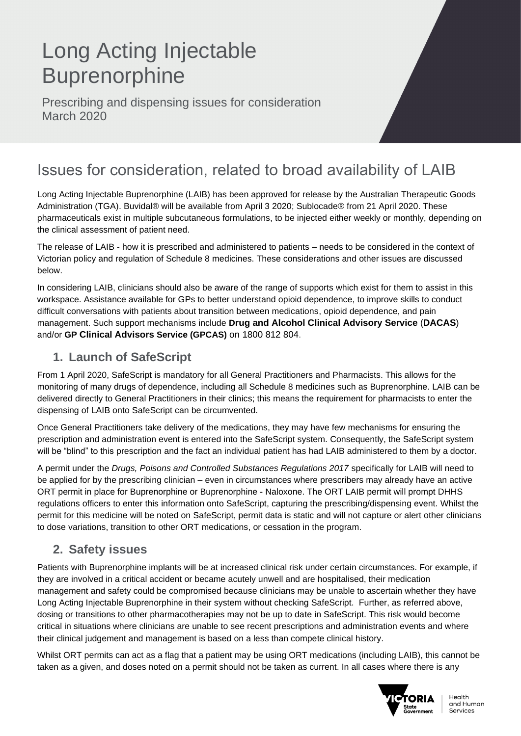# Long Acting Injectable **Buprenorphine**

Prescribing and dispensing issues for consideration March 2020

# Issues for consideration, related to broad availability of LAIB

Long Acting Injectable Buprenorphine (LAIB) has been approved for release by the Australian Therapeutic Goods Administration (TGA). Buvidal*®* will be available from April 3 2020; Sublocade*®* from 21 April 2020. These pharmaceuticals exist in multiple subcutaneous formulations, to be injected either weekly or monthly, depending on the clinical assessment of patient need.

The release of LAIB - how it is prescribed and administered to patients – needs to be considered in the context of Victorian policy and regulation of Schedule 8 medicines. These considerations and other issues are discussed below.

In considering LAIB, clinicians should also be aware of the range of supports which exist for them to assist in this workspace. Assistance available for GPs to better understand opioid dependence, to improve skills to conduct difficult conversations with patients about transition between medications, opioid dependence, and pain management. Such support mechanisms include **Drug and Alcohol Clinical Advisory Service** (**DACAS**) and/or **GP Clinical Advisors Service (GPCAS)** on 1800 812 804.

# **1. Launch of SafeScript**

From 1 April 2020, SafeScript is mandatory for all General Practitioners and Pharmacists. This allows for the monitoring of many drugs of dependence, including all Schedule 8 medicines such as Buprenorphine. LAIB can be delivered directly to General Practitioners in their clinics; this means the requirement for pharmacists to enter the dispensing of LAIB onto SafeScript can be circumvented.

Once General Practitioners take delivery of the medications, they may have few mechanisms for ensuring the prescription and administration event is entered into the SafeScript system. Consequently, the SafeScript system will be "blind" to this prescription and the fact an individual patient has had LAIB administered to them by a doctor.

A permit under the *Drugs, Poisons and Controlled Substances Regulations 2017* specifically for LAIB will need to be applied for by the prescribing clinician – even in circumstances where prescribers may already have an active ORT permit in place for Buprenorphine or Buprenorphine - Naloxone. The ORT LAIB permit will prompt DHHS regulations officers to enter this information onto SafeScript, capturing the prescribing/dispensing event. Whilst the permit for this medicine will be noted on SafeScript, permit data is static and will not capture or alert other clinicians to dose variations, transition to other ORT medications, or cessation in the program.

# **2. Safety issues**

Patients with Buprenorphine implants will be at increased clinical risk under certain circumstances. For example, if they are involved in a critical accident or became acutely unwell and are hospitalised, their medication management and safety could be compromised because clinicians may be unable to ascertain whether they have Long Acting Injectable Buprenorphine in their system without checking SafeScript. Further, as referred above, dosing or transitions to other pharmacotherapies may not be up to date in SafeScript. This risk would become critical in situations where clinicians are unable to see recent prescriptions and administration events and where their clinical judgement and management is based on a less than compete clinical history.

Whilst ORT permits can act as a flag that a patient may be using ORT medications (including LAIB), this cannot be taken as a given, and doses noted on a permit should not be taken as current. In all cases where there is any



Health and Human Services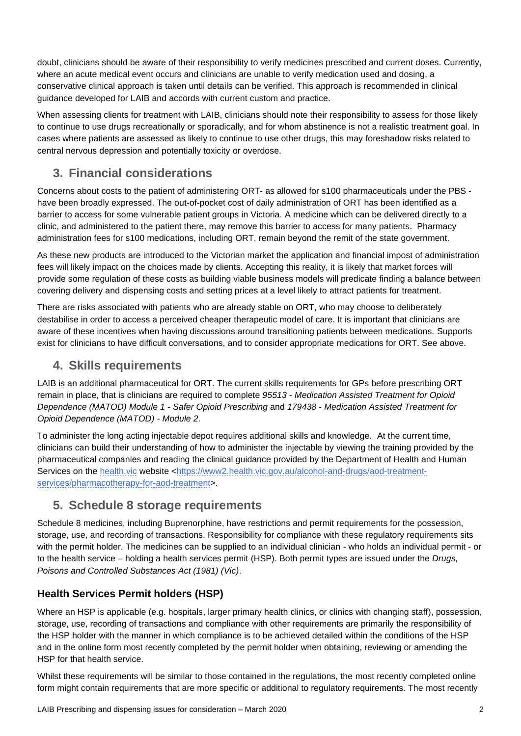doubt, clinicians should be aware of their responsibility to verify medicines prescribed and current doses. Currently, where an acute medical event occurs and clinicians are unable to verify medication used and dosing, a conservative clinical approach is taken until details can be verified. This approach is recommended in clinical guidance developed for LAIB and accords with current custom and practice.

When assessing clients for treatment with LAIB, clinicians should note their responsibility to assess for those likely to continue to use drugs recreationally or sporadically, and for whom abstinence is not a realistic treatment goal. In cases where patients are assessed as likely to continue to use other drugs, this may foreshadow risks related to central nervous depression and potentially toxicity or overdose.

# **3. Financial considerations**

Concerns about costs to the patient of administering ORT- as allowed for s100 pharmaceuticals under the PBS have been broadly expressed. The out-of-pocket cost of daily administration of ORT has been identified as a barrier to access for some vulnerable patient groups in Victoria. A medicine which can be delivered directly to a clinic, and administered to the patient there, may remove this barrier to access for many patients. Pharmacy administration fees for s100 medications, including ORT, remain beyond the remit of the state government.

As these new products are introduced to the Victorian market the application and financial impost of administration fees will likely impact on the choices made by clients. Accepting this reality, it is likely that market forces will provide some regulation of these costs as building viable business models will predicate finding a balance between covering delivery and dispensing costs and setting prices at a level likely to attract patients for treatment.

There are risks associated with patients who are already stable on ORT, who may choose to deliberately destabilise in order to access a perceived cheaper therapeutic model of care. It is important that clinicians are aware of these incentives when having discussions around transitioning patients between medications. Supports exist for clinicians to have difficult conversations, and to consider appropriate medications for ORT. See above.

## **4. Skills requirements**

LAIB is an additional pharmaceutical for ORT. The current skills requirements for GPs before prescribing ORT remain in place, that is clinicians are required to complete *95513 - Medication Assisted Treatment for Opioid Dependence (MATOD) Module 1 - Safer Opioid Prescribing* and *179438 - Medication Assisted Treatment for Opioid Dependence (MATOD) - Module 2*.

To administer the long acting injectable depot requires additional skills and knowledge. At the current time, clinicians can build their understanding of how to administer the injectable by viewing the training provided by the pharmaceutical companies and reading the clinical guidance provided by the Department of Health and Human Services on the [health.vic](https://www2.health.vic.gov.au/alcohol-and-drugs/aod-treatment-services/pharmacotherapy-for-aod-treatment) website [<https://www2.health.vic.gov.au/alcohol-and-drugs/aod-treatment](https://www2.health.vic.gov.au/alcohol-and-drugs/aod-treatment-services/pharmacotherapy-for-aod-treatment)[services/pharmacotherapy-for-aod-treatment>](https://www2.health.vic.gov.au/alcohol-and-drugs/aod-treatment-services/pharmacotherapy-for-aod-treatment).

# **5. Schedule 8 storage requirements**

Schedule 8 medicines, including Buprenorphine, have restrictions and permit requirements for the possession, storage, use, and recording of transactions. Responsibility for compliance with these regulatory requirements sits with the permit holder. The medicines can be supplied to an individual clinician - who holds an individual permit - or to the health service – holding a health services permit (HSP). Both permit types are issued under the *Drugs, Poisons and Controlled Substances Act (1981) (Vic)*.

## **Health Services Permit holders (HSP)**

Where an HSP is applicable (e.g. hospitals, larger primary health clinics, or clinics with changing staff), possession, storage, use, recording of transactions and compliance with other requirements are primarily the responsibility of the HSP holder with the manner in which compliance is to be achieved detailed within the conditions of the HSP and in the online form most recently completed by the permit holder when obtaining, reviewing or amending the HSP for that health service.

Whilst these requirements will be similar to those contained in the requlations, the most recently completed online form might contain requirements that are more specific or additional to regulatory requirements. The most recently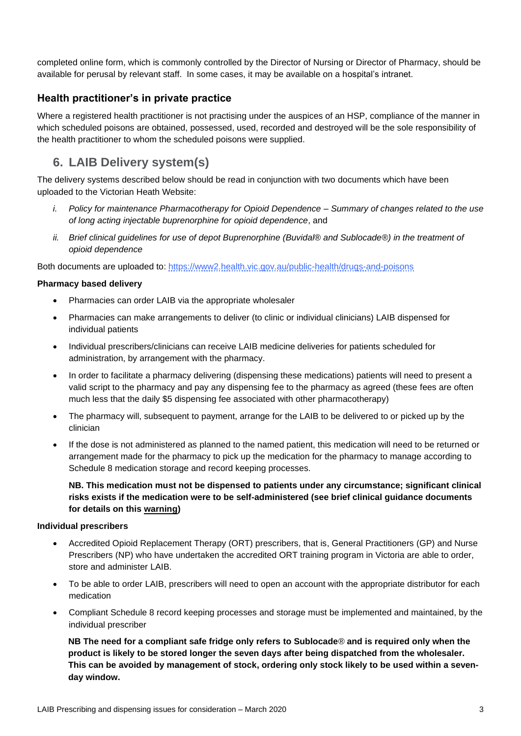completed online form, which is commonly controlled by the Director of Nursing or Director of Pharmacy, should be available for perusal by relevant staff. In some cases, it may be available on a hospital's intranet.

## **Health practitioner's in private practice**

Where a registered health practitioner is not practising under the auspices of an HSP, compliance of the manner in which scheduled poisons are obtained, possessed, used, recorded and destroyed will be the sole responsibility of the health practitioner to whom the scheduled poisons were supplied.

# **6. LAIB Delivery system(s)**

The delivery systems described below should be read in conjunction with two documents which have been uploaded to the Victorian Heath Website:

- *i. Policy for maintenance Pharmacotherapy for Opioid Dependence – Summary of changes related to the use of long acting injectable buprenorphine for opioid dependence*, and
- *ii. Brief clinical guidelines for use of depot Buprenorphine (Buvidal® and Sublocade®) in the treatment of opioid dependence*

Both documents are uploaded to: <https://www2.health.vic.gov.au/public-health/drugs-and-poisons>

## **Pharmacy based delivery**

- Pharmacies can order LAIB via the appropriate wholesaler
- Pharmacies can make arrangements to deliver (to clinic or individual clinicians) LAIB dispensed for individual patients
- Individual prescribers/clinicians can receive LAIB medicine deliveries for patients scheduled for administration, by arrangement with the pharmacy.
- In order to facilitate a pharmacy delivering (dispensing these medications) patients will need to present a valid script to the pharmacy and pay any dispensing fee to the pharmacy as agreed (these fees are often much less that the daily \$5 dispensing fee associated with other pharmacotherapy)
- The pharmacy will, subsequent to payment, arrange for the LAIB to be delivered to or picked up by the clinician
- If the dose is not administered as planned to the named patient, this medication will need to be returned or arrangement made for the pharmacy to pick up the medication for the pharmacy to manage according to Schedule 8 medication storage and record keeping processes.

## **NB. This medication must not be dispensed to patients under any circumstance; significant clinical risks exists if the medication were to be self-administered (see brief clinical guidance documents for details on this warning)**

### **Individual prescribers**

- Accredited Opioid Replacement Therapy (ORT) prescribers, that is, General Practitioners (GP) and Nurse Prescribers (NP) who have undertaken the accredited ORT training program in Victoria are able to order, store and administer LAIB.
- To be able to order LAIB, prescribers will need to open an account with the appropriate distributor for each medication
- Compliant Schedule 8 record keeping processes and storage must be implemented and maintained, by the individual prescriber

**NB The need for a compliant safe fridge only refers to Sublocade***®* **and is required only when the product is likely to be stored longer the seven days after being dispatched from the wholesaler. This can be avoided by management of stock, ordering only stock likely to be used within a sevenday window.**